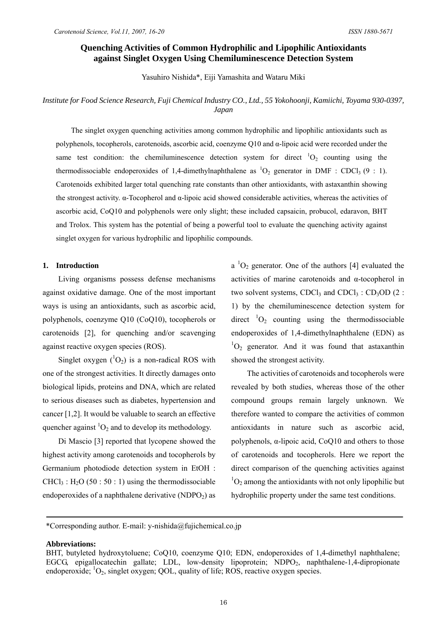# **Quenching Activities of Common Hydrophilic and Lipophilic Antioxidants against Singlet Oxygen Using Chemiluminescence Detection System**

Yasuhiro Nishida\*, Eiji Yamashita and Wataru Miki

# *Institute for Food Science Research, Fuji Chemical Industry CO., Ltd., 55 Yokohoonji, Kamiichi, Toyama 930-0397, Japan*

The singlet oxygen quenching activities among common hydrophilic and lipophilic antioxidants such as polyphenols, tocopherols, carotenoids, ascorbic acid, coenzyme Q10 and α-lipoic acid were recorded under the same test condition: the chemiluminescence detection system for direct  ${}^{1}O_{2}$  counting using the thermodissociable endoperoxides of 1,4-dimethylnaphthalene as  ${}^{1}O_{2}$  generator in DMF : CDCl<sub>3</sub> (9 : 1). Carotenoids exhibited larger total quenching rate constants than other antioxidants, with astaxanthin showing the strongest activity. α-Tocopherol and α-lipoic acid showed considerable activities, whereas the activities of ascorbic acid, CoQ10 and polyphenols were only slight; these included capsaicin, probucol, edaravon, BHT and Trolox. This system has the potential of being a powerful tool to evaluate the quenching activity against singlet oxygen for various hydrophilic and lipophilic compounds.

#### **1. Introduction**

Living organisms possess defense mechanisms against oxidative damage. One of the most important ways is using an antioxidants, such as ascorbic acid, polyphenols, coenzyme Q10 (CoQ10), tocopherols or carotenoids [2], for quenching and/or scavenging against reactive oxygen species (ROS).

Singlet oxygen  $(^1O_2)$  is a non-radical ROS with one of the strongest activities. It directly damages onto biological lipids, proteins and DNA, which are related to serious diseases such as diabetes, hypertension and cancer [1,2]. It would be valuable to search an effective quencher against  ${}^{1}O_{2}$  and to develop its methodology.

Di Mascio [3] reported that lycopene showed the highest activity among carotenoids and tocopherols by Germanium photodiode detection system in EtOH :  $CHCl<sub>3</sub>$ : H<sub>2</sub>O (50 : 50 : 1) using the thermodissociable endoperoxides of a naphthalene derivative  $(NDPO<sub>2</sub>)$  as

 $a<sup>-1</sup>O<sub>2</sub>$  generator. One of the authors [4] evaluated the activities of marine carotenoids and α-tocopherol in two solvent systems, CDCl<sub>3</sub> and CDCl<sub>3</sub> : CD<sub>3</sub>OD (2 : 1) by the chemiluminescence detection system for direct  ${}^{1}O_{2}$  counting using the thermodissociable endoperoxides of 1,4-dimethylnaphthalene (EDN) as  ${}^{1}O_{2}$  generator. And it was found that astaxanthin showed the strongest activity.

The activities of carotenoids and tocopherols were revealed by both studies, whereas those of the other compound groups remain largely unknown. We therefore wanted to compare the activities of common antioxidants in nature such as ascorbic acid, polyphenols,  $\alpha$ -lipoic acid, CoO10 and others to those of carotenoids and tocopherols. Here we report the direct comparison of the quenching activities against  ${}^{1}O_{2}$  among the antioxidants with not only lipophilic but hydrophilic property under the same test conditions.

### **Abbreviations:**

<sup>\*</sup>Corresponding author. E-mail: y-nishida@fujichemical.co.jp

BHT, butyleted hydroxytoluene; CoQ10, coenzyme Q10; EDN, endoperoxides of 1,4-dimethyl naphthalene; EGCG, epigallocatechin gallate; LDL, low-density lipoprotein; NDPO<sub>2</sub>, naphthalene-1,4-dipropionate endoperoxide; <sup>1</sup>O<sub>2</sub>, singlet oxygen; QOL, quality of life; ROS, reactive oxygen species.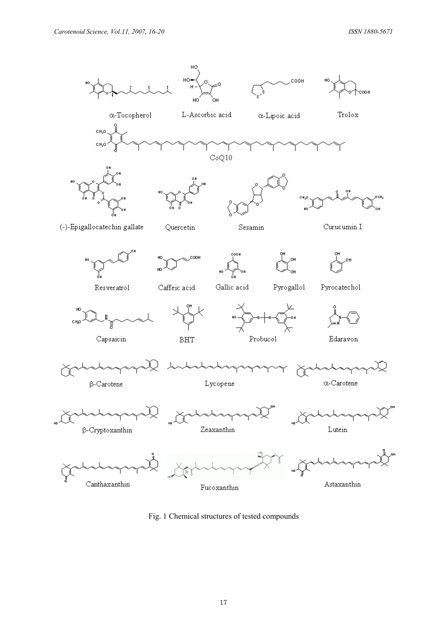

Fig. 1 Chemical structures of tested compounds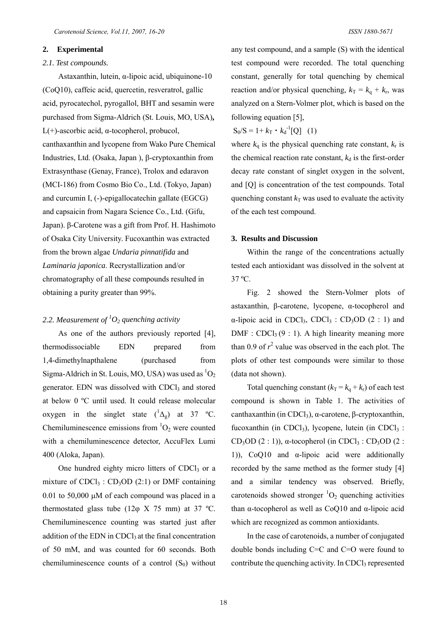#### **2. Experimental**

# *2.1. Test compounds.*

Astaxanthin, lutein, α-lipoic acid, ubiquinone-10 (CoQ10), caffeic acid, quercetin, resveratrol, gallic acid, pyrocatechol, pyrogallol, BHT and sesamin were purchased from Sigma-Aldrich (St. Louis, MO, USA)**,** L(+)-ascorbic acid, α-tocopherol, probucol, canthaxanthin and lycopene from Wako Pure Chemical Industries, Ltd. (Osaka, Japan ), β-cryptoxanthin from Extrasynthase (Genay, France), Trolox and edaravon (MCI-186) from Cosmo Bio Co., Ltd. (Tokyo, Japan) and curcumin I, (-)-epigallocatechin gallate (EGCG) and capsaicin from Nagara Science Co., Ltd. (Gifu, Japan). β-Carotene was a gift from Prof. H. Hashimoto of Osaka City University. Fucoxanthin was extracted from the brown algae *Undaria pinnatifida* and *Laminaria japonica*. Recrystallization and/or chromatography of all these compounds resulted in obtaining a purity greater than 99%.

# 2.2. Measurement of  ${}^{1}O_2$  quenching activity

As one of the authors previously reported [4], thermodissociable EDN prepared from 1,4-dimethylnapthalene (purchased from Sigma-Aldrich in St. Louis, MO, USA) was used as  ${}^{1}O_{2}$ generator. EDN was dissolved with CDCl<sub>3</sub> and stored at below 0 ºC until used. It could release molecular oxygen in the singlet state  $({}^{1}\Delta_g)$  at 37 °C. Chemiluminescence emissions from  ${}^{1}O_{2}$  were counted with a chemiluminescence detector, AccuFlex Lumi 400 (Aloka, Japan).

One hundred eighty micro litters of  $CDCl<sub>3</sub>$  or a mixture of  $CDCl<sub>3</sub>$ :  $CD<sub>3</sub>OD (2:1)$  or DMF containing 0.01 to 50,000 μM of each compound was placed in a thermostated glass tube (12 $\varphi$  X 75 mm) at 37 °C. Chemiluminescence counting was started just after addition of the EDN in CDCl<sub>3</sub> at the final concentration of 50 mM, and was counted for 60 seconds. Both chemiluminescence counts of a control  $(S_0)$  without any test compound, and a sample (S) with the identical test compound were recorded. The total quenching constant, generally for total quenching by chemical reaction and/or physical quenching,  $k_T = k_q + k_r$ , was analyzed on a Stern-Volmer plot, which is based on the following equation [5],

$$
S_0/S = 1 + k_T \cdot k_d^{-1}[Q] \quad (1)
$$

where  $k_q$  is the physical quenching rate constant,  $k_r$  is the chemical reaction rate constant,  $k_d$  is the first-order decay rate constant of singlet oxygen in the solvent, and [Q] is concentration of the test compounds. Total quenching constant  $k<sub>T</sub>$  was used to evaluate the activity of the each test compound.

## **3. Results and Discussion**

Within the range of the concentrations actually tested each antioxidant was dissolved in the solvent at 37 ºC.

Fig. 2 showed the Stern-Volmer plots of astaxanthin, β-carotene, lycopene, α-tocopherol and α-lipoic acid in CDCl<sub>3</sub>, CDCl<sub>3</sub> : CD<sub>3</sub>OD (2 : 1) and  $DMF : CDCl<sub>3</sub>(9 : 1)$ . A high linearity meaning more than 0.9 of  $r^2$  value was observed in the each plot. The plots of other test compounds were similar to those (data not shown).

Total quenching constant  $(k_T = k_q + k_r)$  of each test compound is shown in Table 1. The activities of canthaxanthin (in CDCl<sub>3</sub>), α-carotene, β-cryptoxanthin, fucoxanthin (in CDCl<sub>3</sub>), lycopene, lutein (in CDCl<sub>3</sub>: CD<sub>3</sub>OD (2 : 1)),  $\alpha$ -tocopherol (in CDCl<sub>3</sub> : CD<sub>3</sub>OD (2 : 1)), CoQ10 and α-lipoic acid were additionally recorded by the same method as the former study [4] and a similar tendency was observed. Briefly, carotenoids showed stronger  ${}^{1}O_{2}$  quenching activities than α-tocopherol as well as CoQ10 and α-lipoic acid which are recognized as common antioxidants.

In the case of carotenoids, a number of conjugated double bonds including C=C and C=O were found to contribute the quenching activity. In CDCl<sub>3</sub> represented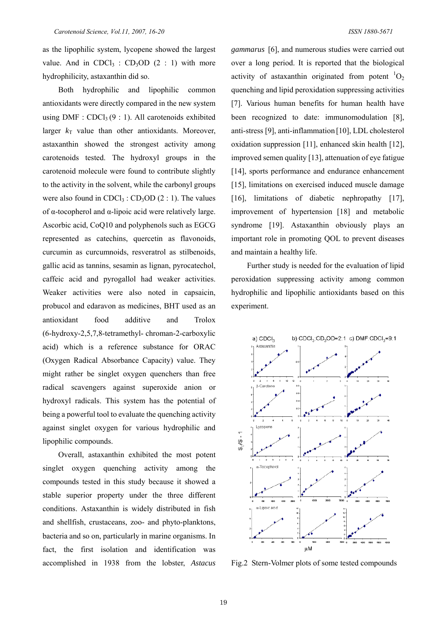as the lipophilic system, lycopene showed the largest value. And in CDCl<sub>3</sub> : CD<sub>3</sub>OD (2 : 1) with more hydrophilicity, astaxanthin did so.

Both hydrophilic and lipophilic common antioxidants were directly compared in the new system using DMF :  $CDCl<sub>3</sub>(9:1)$ . All carotenoids exhibited larger  $k_T$  value than other antioxidants. Moreover, astaxanthin showed the strongest activity among carotenoids tested. The hydroxyl groups in the carotenoid molecule were found to contribute slightly to the activity in the solvent, while the carbonyl groups were also found in  $CDCl<sub>3</sub>$ :  $CD<sub>3</sub>OD$  (2 : 1). The values of α-tocopherol and α-lipoic acid were relatively large. Ascorbic acid, CoQ10 and polyphenols such as EGCG represented as catechins, quercetin as flavonoids, curcumin as curcumnoids, resveratrol as stilbenoids, gallic acid as tannins, sesamin as lignan, pyrocatechol, caffeic acid and pyrogallol had weaker activities. Weaker activities were also noted in capsaicin, probucol and edaravon as medicines, BHT used as an antioxidant food additive and Trolox (6-hydroxy-2,5,7,8-tetramethyl- chroman-2-carboxylic acid) which is a reference substance for ORAC (Oxygen Radical Absorbance Capacity) value. They might rather be singlet oxygen quenchers than free radical scavengers against superoxide anion or hydroxyl radicals. This system has the potential of being a powerful tool to evaluate the quenching activity against singlet oxygen for various hydrophilic and lipophilic compounds.

Overall, astaxanthin exhibited the most potent singlet oxygen quenching activity among the compounds tested in this study because it showed a stable superior property under the three different conditions. Astaxanthin is widely distributed in fish and shellfish, crustaceans, zoo- and phyto-planktons, bacteria and so on, particularly in marine organisms. In fact, the first isolation and identification was accomplished in 1938 from the lobster, *Astacus*  *gammarus* [6], and numerous studies were carried out over a long period. It is reported that the biological activity of astaxanthin originated from potent  ${}^{1}O_{2}$ quenching and lipid peroxidation suppressing activities [7]. Various human benefits for human health have been recognized to date: immunomodulation [8], anti-stress [9], anti-inflammation [10], LDL cholesterol oxidation suppression [11], enhanced skin health [12], improved semen quality [13], attenuation of eye fatigue [14], sports performance and endurance enhancement [15], limitations on exercised induced muscle damage [16], limitations of diabetic nephropathy [17], improvement of hypertension [18] and metabolic syndrome [19]. Astaxanthin obviously plays an important role in promoting QOL to prevent diseases and maintain a healthy life.

Further study is needed for the evaluation of lipid peroxidation suppressing activity among common hydrophilic and lipophilic antioxidants based on this experiment.



Fig.2 Stern-Volmer plots of some tested compounds